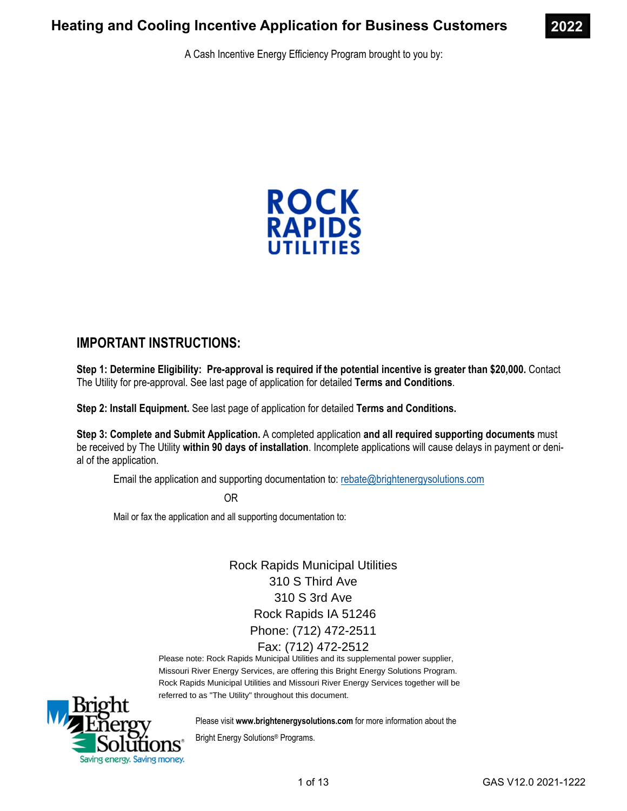

A Cash Incentive Energy Efficiency Program brought to you by:



### **IMPORTANT INSTRUCTIONS:**

**Step 1: Determine Eligibility: Pre-approval is required if the potential incentive is greater than \$20,000.** Contact The Utility for pre-approval. See last page of application for detailed **Terms and Conditions**.

**Step 2: Install Equipment.** See last page of application for detailed **Terms and Conditions.** 

**Step 3: Complete and Submit Application.** A completed application **and all required supporting documents** must be received by The Utility **within 90 days of installation**. Incomplete applications will cause delays in payment or denial of the application.

Email the application and supporting documentation to: rebate@brightenergysolutions.com

OR

Mail or fax the application and all supporting documentation to:

Rock Rapids Municipal Utilities 310 S Third Ave 310 S 3rd Ave Rock Rapids IA 51246 Phone: (712) 472-2511 Fax: (712) 472-2512

Please note: Rock Rapids Municipal Utilities and its supplemental power supplier, Missouri River Energy Services, are offering this Bright Energy Solutions Program. Rock Rapids Municipal Utilities and Missouri River Energy Services together will be referred to as "The Utility" throughout this document.



Please visit **www.brightenergysolutions.com** for more information about the

Bright Energy Solutions® Programs.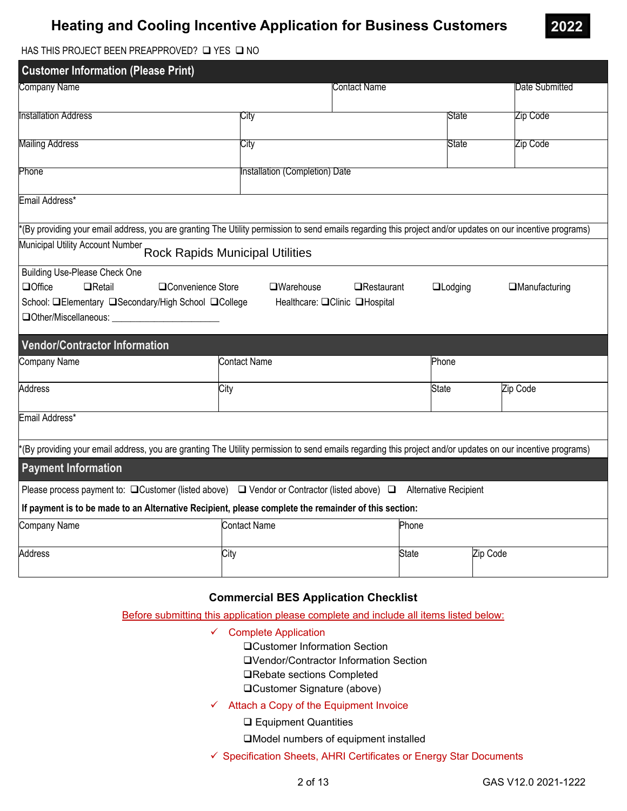

HAS THIS PROJECT BEEN PREAPPROVED?  $\square$  YES  $\square$  NO

| <b>Customer Information (Please Print)</b>                                                                                                                                             |                                        |                                                    |                |                       |
|----------------------------------------------------------------------------------------------------------------------------------------------------------------------------------------|----------------------------------------|----------------------------------------------------|----------------|-----------------------|
| Company Name                                                                                                                                                                           |                                        | Contact Name                                       |                | Date Submitted        |
| <b>Installation Address</b>                                                                                                                                                            | City                                   |                                                    | State          | Zip Code              |
| <b>Mailing Address</b>                                                                                                                                                                 | City                                   |                                                    | State          | Zip Code              |
| Phone                                                                                                                                                                                  | Installation (Completion) Date         |                                                    |                |                       |
| Email Address*                                                                                                                                                                         |                                        |                                                    |                |                       |
| *(By providing your email address, you are granting The Utility permission to send emails regarding this project and/or updates on our incentive programs)                             |                                        |                                                    |                |                       |
| Municipal Utility Account Number                                                                                                                                                       | <b>Rock Rapids Municipal Utilities</b> |                                                    |                |                       |
| <b>Building Use-Please Check One</b><br><b>QOffice</b><br>$\Box$ Retail<br>□Convenience Store<br>School: <b>QElementary QSecondary/High School QCollege</b><br>□Other/Miscellaneous: _ | $\square$ Warehouse                    | $\Box$ Restaurant<br>Healthcare: □Clinic □Hospital | $\Box$ Lodging | <b>IManufacturing</b> |
| <b>Vendor/Contractor Information</b>                                                                                                                                                   |                                        |                                                    |                |                       |
| <b>Company Name</b>                                                                                                                                                                    | <b>Contact Name</b>                    |                                                    | Phone          |                       |
| <b>Address</b>                                                                                                                                                                         | City                                   | <b>State</b>                                       |                | Zip Code              |
| Email Address*                                                                                                                                                                         |                                        |                                                    |                |                       |
| *(By providing your email address, you are granting The Utility permission to send emails regarding this project and/or updates on our incentive programs)                             |                                        |                                                    |                |                       |
| <b>Payment Information</b>                                                                                                                                                             |                                        |                                                    |                |                       |
| Please process payment to: $\Box$ Customer (listed above) $\Box$ Vendor or Contractor (listed above) $\Box$ Alternative Recipient                                                      |                                        |                                                    |                |                       |
| If payment is to be made to an Alternative Recipient, please complete the remainder of this section:                                                                                   |                                        |                                                    |                |                       |
| <b>Company Name</b>                                                                                                                                                                    | <b>Contact Name</b>                    | Phone                                              |                |                       |
| Address                                                                                                                                                                                | City                                   | <b>State</b>                                       | Zip Code       |                       |

#### **Commercial BES Application Checklist**

Before submitting this application please complete and include all items listed below:

- $\checkmark$  Complete Application
	- Customer Information Section
	- Vendor/Contractor Information Section
	- **□Rebate sections Completed**
	- □Customer Signature (above)
- $\checkmark$  Attach a Copy of the Equipment Invoice
	- Equipment Quantities
	- Model numbers of equipment installed
- Specification Sheets, AHRI Certificates or Energy Star Documents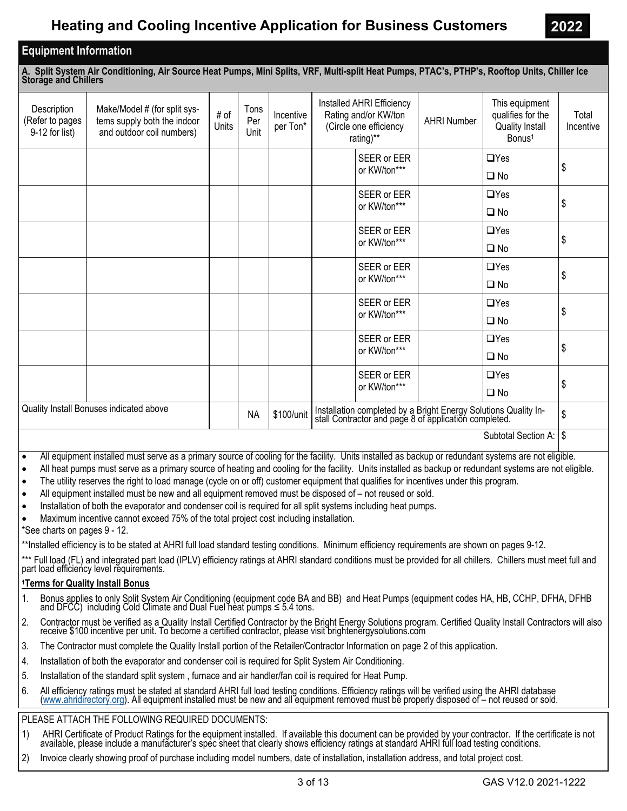### **Equipment Information**

**A. Split System Air Conditioning, Air Source Heat Pumps, Mini Splits, VRF, Multi-split Heat Pumps, PTAC's, PTHP's, Rooftop Units, Chiller Ice Storage and Chillers** 

| Description<br>(Refer to pages<br>9-12 for list) | Make/Model # (for split sys-<br>tems supply both the indoor<br>and outdoor coil numbers) | # of<br>Units | Tons<br>Per<br>Unit | Incentive<br>per Ton* |              | Installed AHRI Efficiency<br>Rating and/or KW/ton<br>(Circle one efficiency<br>rating)** | <b>AHRI Number</b> | This equipment<br>qualifies for the<br><b>Quality Install</b><br>Bonus <sup>1</sup>                                 | Total<br>Incentive |
|--------------------------------------------------|------------------------------------------------------------------------------------------|---------------|---------------------|-----------------------|--------------|------------------------------------------------------------------------------------------|--------------------|---------------------------------------------------------------------------------------------------------------------|--------------------|
|                                                  |                                                                                          |               |                     |                       |              | SEER or EER                                                                              |                    | $\Box$ Yes                                                                                                          |                    |
|                                                  |                                                                                          |               |                     |                       |              | or KW/ton***                                                                             |                    | $\square$ No                                                                                                        | \$                 |
|                                                  |                                                                                          |               |                     |                       |              | SEER or EER                                                                              |                    | $\Box$ Yes                                                                                                          |                    |
|                                                  |                                                                                          |               |                     |                       |              | or KW/ton***                                                                             |                    | $\Box$ No                                                                                                           | \$                 |
|                                                  |                                                                                          |               |                     |                       |              | SEER or EER                                                                              |                    | $\Box$ Yes                                                                                                          |                    |
|                                                  |                                                                                          |               |                     |                       | or KW/ton*** |                                                                                          |                    | $\Box$ No                                                                                                           | \$                 |
|                                                  |                                                                                          |               |                     |                       |              | SEER or EER                                                                              |                    | $\Box$ Yes                                                                                                          |                    |
|                                                  |                                                                                          |               |                     |                       |              | or KW/ton***                                                                             |                    | $\Box$ No                                                                                                           | \$                 |
|                                                  |                                                                                          |               |                     |                       |              | SEER or EER                                                                              |                    | $\Box$ Yes                                                                                                          |                    |
|                                                  |                                                                                          |               |                     |                       |              | or KW/ton***                                                                             |                    | $\square$ No                                                                                                        | \$                 |
|                                                  |                                                                                          |               |                     |                       |              | SEER or EER                                                                              |                    | $\Box$ Yes                                                                                                          |                    |
|                                                  |                                                                                          |               |                     |                       |              | or KW/ton***                                                                             |                    | $\Box$ No                                                                                                           | \$                 |
|                                                  |                                                                                          |               |                     |                       |              | SEER or EER                                                                              |                    | $\Box$ Yes                                                                                                          |                    |
|                                                  |                                                                                          |               |                     |                       |              | or KW/ton***                                                                             |                    | $\square$ No                                                                                                        | \$                 |
|                                                  | Quality Install Bonuses indicated above                                                  |               | <b>NA</b>           | \$100/unit            |              |                                                                                          |                    | Installation completed by a Bright Energy Solutions Quality Install Contractor and page 8 of application completed. | \$                 |
|                                                  |                                                                                          |               |                     |                       |              |                                                                                          |                    | $C1$ $L2$ $L3$ $C4$ $L4$ $L5$ $R1$ $R2$                                                                             |                    |

Subtotal Section A: I \$

All equipment installed must serve as a primary source of cooling for the facility. Units installed as backup or redundant systems are not eligible.

All heat pumps must serve as a primary source of heating and cooling for the facility. Units installed as backup or redundant systems are not eligible.

The utility reserves the right to load manage (cycle on or off) customer equipment that qualifies for incentives under this program.

All equipment installed must be new and all equipment removed must be disposed of – not reused or sold.

• Installation of both the evaporator and condenser coil is required for all split systems including heat pumps.

Maximum incentive cannot exceed 75% of the total project cost including installation.

\*See charts on pages 9 - 12.

\*\*Installed efficiency is to be stated at AHRI full load standard testing conditions. Minimum efficiency requirements are shown on pages 9-12.

\*\*\* Full load (FL) and integrated part load (IPLV) efficiency ratings at AHRI standard conditions must be provided for all chillers. Chillers must meet full and part load efficiency level requirements.

### **1Terms for Quality Install Bonus**

- 1. Bonus applies to only Split System Air Conditioning (equipment code BA and BB) and Heat Pumps (equipment codes HA, HB, CCHP, DFHA, DFHB and DFCC) including Cold Climate and Dual Fuel heat pumps  $\leq 5.4$  tons.
- 2. Contractor must be verified as a Quality Install Certified Contractor by the Bright Energy Solutions program. Certified Quality Install Contractors will also receive \$100 incentive per unit. To become a certified contractor, please visit brightenergysolutions.com
- 3. The Contractor must complete the Quality Install portion of the Retailer/Contractor Information on page 2 of this application.
- 4. Installation of both the evaporator and condenser coil is required for Split System Air Conditioning.
- 5. Installation of the standard split system , furnace and air handler/fan coil is required for Heat Pump.
- 6. All efficiency ratings must be stated at standard AHRI full load testing conditions. Efficiency ratings will be verified using the AHRI database<br>(www.ahridirectory.org). All equipment installed must be new and all equip

### PLEASE ATTACH THE FOLLOWING REQUIRED DOCUMENTS:

- 1) AHRI Certificate of Product Ratings for the equipment installed. If available this document can be provided by your contractor. If the certificate is not available, please include a manufacturer's spec sheet that clearly shows efficiency ratings at standard AHRI full load testing conditions.
- 2) Invoice clearly showing proof of purchase including model numbers, date of installation, installation address, and total project cost.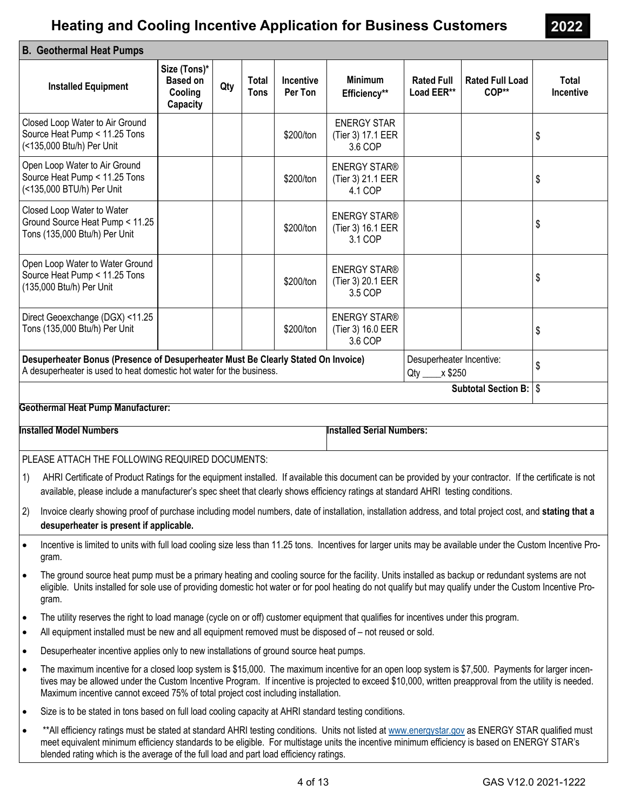| <b>B. Geothermal Heat Pumps</b>                                                                                                                                                                                                                                                                                                                                                                              |                                                        |     |                             |                      |                                                     |                                              |                                 |                           |
|--------------------------------------------------------------------------------------------------------------------------------------------------------------------------------------------------------------------------------------------------------------------------------------------------------------------------------------------------------------------------------------------------------------|--------------------------------------------------------|-----|-----------------------------|----------------------|-----------------------------------------------------|----------------------------------------------|---------------------------------|---------------------------|
| <b>Installed Equipment</b>                                                                                                                                                                                                                                                                                                                                                                                   | Size (Tons)*<br><b>Based on</b><br>Cooling<br>Capacity | Qty | <b>Total</b><br><b>Tons</b> | Incentive<br>Per Ton | <b>Minimum</b><br>Efficiency**                      | <b>Rated Full</b><br>Load EER**              | <b>Rated Full Load</b><br>COP** | Total<br><b>Incentive</b> |
| Closed Loop Water to Air Ground<br>Source Heat Pump < 11.25 Tons<br>(<135,000 Btu/h) Per Unit                                                                                                                                                                                                                                                                                                                |                                                        |     |                             | \$200/ton            | <b>ENERGY STAR</b><br>(Tier 3) 17.1 EER<br>3.6 COP  |                                              |                                 | \$                        |
| Open Loop Water to Air Ground<br>Source Heat Pump < 11.25 Tons<br>(<135,000 BTU/h) Per Unit                                                                                                                                                                                                                                                                                                                  |                                                        |     |                             | \$200/ton            | <b>ENERGY STAR®</b><br>(Tier 3) 21.1 EER<br>4.1 COP |                                              |                                 | \$                        |
| Closed Loop Water to Water<br>Ground Source Heat Pump < 11.25<br>Tons (135,000 Btu/h) Per Unit                                                                                                                                                                                                                                                                                                               |                                                        |     |                             | \$200/ton            | <b>ENERGY STAR®</b><br>(Tier 3) 16.1 EER<br>3.1 COP |                                              |                                 | \$                        |
| Open Loop Water to Water Ground<br>Source Heat Pump < 11.25 Tons<br>(135,000 Btu/h) Per Unit                                                                                                                                                                                                                                                                                                                 |                                                        |     |                             | \$200/ton            | <b>ENERGY STAR®</b><br>(Tier 3) 20.1 EER<br>3.5 COP |                                              |                                 | \$                        |
| Direct Geoexchange (DGX) <11.25<br>Tons (135,000 Btu/h) Per Unit                                                                                                                                                                                                                                                                                                                                             |                                                        |     |                             | \$200/ton            | <b>ENERGY STAR®</b><br>(Tier 3) 16.0 EER<br>3.6 COP |                                              |                                 | \$                        |
| Desuperheater Bonus (Presence of Desuperheater Must Be Clearly Stated On Invoice)<br>A desuperheater is used to heat domestic hot water for the business.                                                                                                                                                                                                                                                    |                                                        |     |                             |                      |                                                     | Desuperheater Incentive:<br>Qty ____ x \$250 |                                 | \$                        |
|                                                                                                                                                                                                                                                                                                                                                                                                              |                                                        |     |                             |                      |                                                     |                                              | Subtotal Section B: \ \$        |                           |
| <b>Geothermal Heat Pump Manufacturer:</b>                                                                                                                                                                                                                                                                                                                                                                    |                                                        |     |                             |                      |                                                     |                                              |                                 |                           |
| <b>Installed Model Numbers</b>                                                                                                                                                                                                                                                                                                                                                                               |                                                        |     |                             |                      | <b>Installed Serial Numbers:</b>                    |                                              |                                 |                           |
| PLEASE ATTACH THE FOLLOWING REQUIRED DOCUMENTS:                                                                                                                                                                                                                                                                                                                                                              |                                                        |     |                             |                      |                                                     |                                              |                                 |                           |
| 1)<br>AHRI Certificate of Product Ratings for the equipment installed. If available this document can be provided by your contractor. If the certificate is not<br>available, please include a manufacturer's spec sheet that clearly shows efficiency ratings at standard AHRI testing conditions.                                                                                                          |                                                        |     |                             |                      |                                                     |                                              |                                 |                           |
| 2)<br>Invoice clearly showing proof of purchase including model numbers, date of installation, installation address, and total project cost, and stating that a<br>desuperheater is present if applicable.                                                                                                                                                                                                   |                                                        |     |                             |                      |                                                     |                                              |                                 |                           |
| Incentive is limited to units with full load cooling size less than 11.25 tons. Incentives for larger units may be available under the Custom Incentive Pro-<br>$\bullet$<br>gram.                                                                                                                                                                                                                           |                                                        |     |                             |                      |                                                     |                                              |                                 |                           |
| The ground source heat pump must be a primary heating and cooling source for the facility. Units installed as backup or redundant systems are not<br>$\bullet$<br>eligible. Units installed for sole use of providing domestic hot water or for pool heating do not qualify but may qualify under the Custom Incentive Pro-<br>gram.                                                                         |                                                        |     |                             |                      |                                                     |                                              |                                 |                           |
| The utility reserves the right to load manage (cycle on or off) customer equipment that qualifies for incentives under this program.<br>$\bullet$<br>All equipment installed must be new and all equipment removed must be disposed of – not reused or sold.<br>$\bullet$                                                                                                                                    |                                                        |     |                             |                      |                                                     |                                              |                                 |                           |
| Desuperheater incentive applies only to new installations of ground source heat pumps.<br>$\bullet$                                                                                                                                                                                                                                                                                                          |                                                        |     |                             |                      |                                                     |                                              |                                 |                           |
| The maximum incentive for a closed loop system is \$15,000. The maximum incentive for an open loop system is \$7,500. Payments for larger incen-<br>$\bullet$<br>tives may be allowed under the Custom Incentive Program. If incentive is projected to exceed \$10,000, written preapproval from the utility is needed.<br>Maximum incentive cannot exceed 75% of total project cost including installation. |                                                        |     |                             |                      |                                                     |                                              |                                 |                           |
| Size is to be stated in tons based on full load cooling capacity at AHRI standard testing conditions.<br>$\bullet$                                                                                                                                                                                                                                                                                           |                                                        |     |                             |                      |                                                     |                                              |                                 |                           |
| **All efficiency ratings must be stated at standard AHRI testing conditions. Units not listed at www.energystar.gov as ENERGY STAR qualified must<br>$\bullet$<br>meet equivalent minimum efficiency standards to be eligible. For multistage units the incentive minimum efficiency is based on ENERGY STAR's                                                                                               |                                                        |     |                             |                      |                                                     |                                              |                                 |                           |

**2022**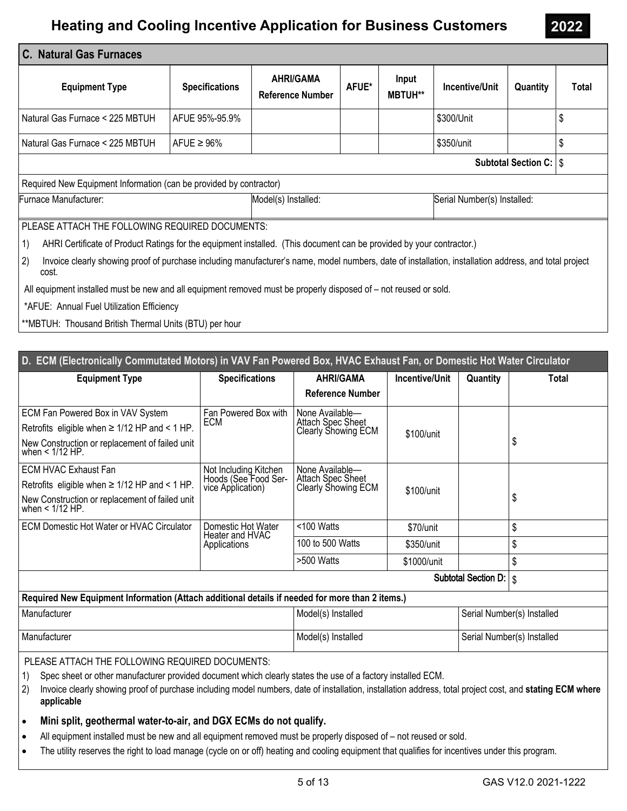| C. Natural Gas Furnaces                                                                                                                                              |                       |                                             |       |                         |                             |                                 |       |
|----------------------------------------------------------------------------------------------------------------------------------------------------------------------|-----------------------|---------------------------------------------|-------|-------------------------|-----------------------------|---------------------------------|-------|
| <b>Equipment Type</b>                                                                                                                                                | <b>Specifications</b> | <b>AHRI/GAMA</b><br><b>Reference Number</b> | AFUE* | Input<br><b>MBTUH**</b> | Incentive/Unit              | Quantity                        | Total |
| Natural Gas Furnace < 225 MBTUH                                                                                                                                      | AFUE 95%-95.9%        |                                             |       |                         | \$300/Unit                  |                                 | \$    |
| Natural Gas Furnace < 225 MBTUH                                                                                                                                      | AFUE $\geq 96\%$      |                                             |       |                         | \$350/unit                  |                                 | \$    |
|                                                                                                                                                                      |                       |                                             |       |                         |                             | <b>Subtotal Section C:   \$</b> |       |
| Required New Equipment Information (can be provided by contractor)                                                                                                   |                       |                                             |       |                         |                             |                                 |       |
| Furnace Manufacturer:                                                                                                                                                |                       | Model(s) Installed:                         |       |                         | Serial Number(s) Installed: |                                 |       |
| PLEASE ATTACH THE FOLLOWING REQUIRED DOCUMENTS:                                                                                                                      |                       |                                             |       |                         |                             |                                 |       |
| 1)<br>AHRI Certificate of Product Ratings for the equipment installed. (This document can be provided by your contractor.)                                           |                       |                                             |       |                         |                             |                                 |       |
| 2)<br>Invoice clearly showing proof of purchase including manufacturer's name, model numbers, date of installation, installation address, and total project<br>cost. |                       |                                             |       |                         |                             |                                 |       |
| All equipment installed must be new and all equipment removed must be properly disposed of – not reused or sold.                                                     |                       |                                             |       |                         |                             |                                 |       |
| *AFUE: Annual Fuel Utilization Efficiency                                                                                                                            |                       |                                             |       |                         |                             |                                 |       |
| **MBTUH: Thousand British Thermal Units (BTU) per hour                                                                                                               |                       |                                             |       |                         |                             |                                 |       |

| D. ECM (Electronically Commutated Motors) in VAV Fan Powered Box, HVAC Exhaust Fan, or Domestic Hot Water Circulator                                                                                                                                                                                                                             |                                                        |                                                 |                |                            |                            |
|--------------------------------------------------------------------------------------------------------------------------------------------------------------------------------------------------------------------------------------------------------------------------------------------------------------------------------------------------|--------------------------------------------------------|-------------------------------------------------|----------------|----------------------------|----------------------------|
| <b>Equipment Type</b>                                                                                                                                                                                                                                                                                                                            | <b>Specifications</b>                                  | <b>AHRI/GAMA</b>                                | Incentive/Unit | Quantity                   | Total                      |
|                                                                                                                                                                                                                                                                                                                                                  |                                                        | <b>Reference Number</b>                         |                |                            |                            |
| ECM Fan Powered Box in VAV System                                                                                                                                                                                                                                                                                                                | Fan Powered Box with                                   | None Available-                                 |                |                            |                            |
| Retrofits eligible when $\geq$ 1/12 HP and < 1 HP.                                                                                                                                                                                                                                                                                               | <b>Attach Spec Sheet</b><br>ECM<br>Clearly Showing ECM | \$100/unit                                      |                |                            |                            |
| New Construction or replacement of failed unit<br>when < 1/12 HP.                                                                                                                                                                                                                                                                                |                                                        |                                                 |                |                            | \$                         |
| <b>ECM HVAC Exhaust Fan</b>                                                                                                                                                                                                                                                                                                                      | Not Including Kitchen                                  | None Available-                                 |                |                            |                            |
| Retrofits eligible when $\geq 1/12$ HP and < 1 HP.                                                                                                                                                                                                                                                                                               | Hoods (See Food Ser-<br>vice Application)              | <b>Attach Spec Sheet</b><br>Clearly Showing ECM | \$100/unit     |                            |                            |
| New Construction or replacement of failed unit<br>when $<$ 1/12 HP.                                                                                                                                                                                                                                                                              |                                                        |                                                 |                |                            | \$                         |
| <b>ECM Domestic Hot Water or HVAC Circulator</b>                                                                                                                                                                                                                                                                                                 | Domestic Hot Water<br>Heater and HVAC                  | <100 Watts                                      | \$70/unit      |                            | \$                         |
|                                                                                                                                                                                                                                                                                                                                                  | Applications                                           | 100 to 500 Watts                                | \$350/unit     |                            | \$                         |
|                                                                                                                                                                                                                                                                                                                                                  |                                                        | >500 Watts                                      | \$1000/unit    |                            | \$                         |
|                                                                                                                                                                                                                                                                                                                                                  |                                                        |                                                 |                | Subtotal Section D.        | \$                         |
| Required New Equipment Information (Attach additional details if needed for more than 2 items.)                                                                                                                                                                                                                                                  |                                                        |                                                 |                |                            |                            |
| Manufacturer                                                                                                                                                                                                                                                                                                                                     |                                                        | Model(s) Installed                              |                | Serial Number(s) Installed |                            |
| Manufacturer                                                                                                                                                                                                                                                                                                                                     |                                                        | Model(s) Installed                              |                |                            | Serial Number(s) Installed |
| PLEASE ATTACH THE FOLLOWING REQUIRED DOCUMENTS:<br>Spec sheet or other manufacturer provided document which clearly states the use of a factory installed ECM.<br>1)<br>$\mathcal{D}$<br>union algority photoion area of purchase including model pumbers, data of installation, installation address, total project east, and ototing ECM whore |                                                        |                                                 |                |                            |                            |

- 2) Invoice clearly showing proof of purchase including model numbers, date of installation, installation address, total project cost, and **stating ECM where applicable**
- **Mini split, geothermal water-to-air, and DGX ECMs do not qualify.**
- All equipment installed must be new and all equipment removed must be properly disposed of not reused or sold.
- The utility reserves the right to load manage (cycle on or off) heating and cooling equipment that qualifies for incentives under this program.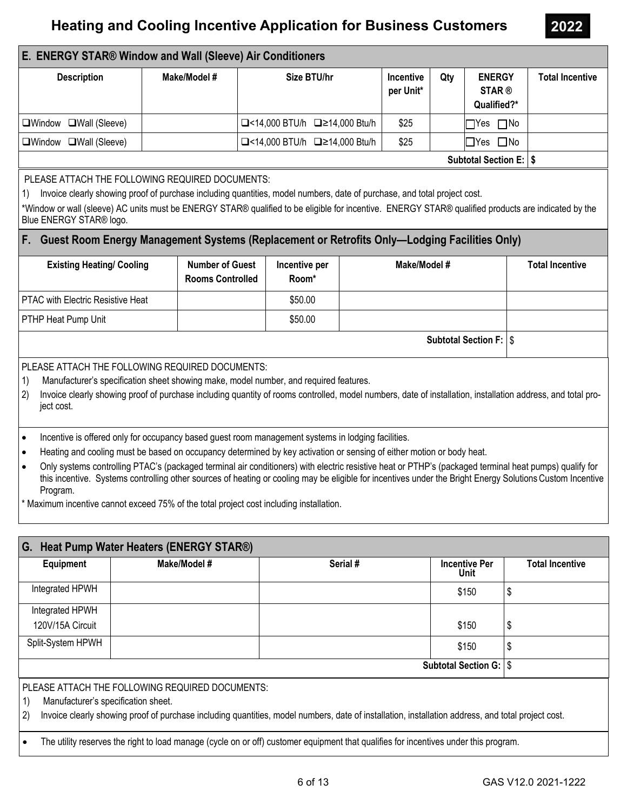**2022** 

### **E. ENERGY STAR® Window and Wall (Sleeve) Air Conditioners**

| <b>Description</b>     | Make/Model # | Size BTU/hr                                     | <b>Incentive</b><br>per Unit* | Qty | <b>ENERGY</b><br><b>STAR®</b><br>Qualified?* | <b>Total Incentive</b> |
|------------------------|--------------|-------------------------------------------------|-------------------------------|-----|----------------------------------------------|------------------------|
| □Window □Wall (Sleeve) |              | $\Box$ <14,000 BTU/h $\Box$ $\geq$ 14,000 Btu/h | \$25                          |     | $\Box$ Yes $\Box$ No                         |                        |
| □Window □Wall (Sleeve) |              | $\Box$ <14,000 BTU/h $\Box$ $\geq$ 14,000 Btu/h | \$25                          |     | $\Box$ Yes $\Box$ No                         |                        |
|                        |              |                                                 |                               |     | <b>Subtotal Section E:   \$</b>              |                        |

PLEASE ATTACH THE FOLLOWING REQUIRED DOCUMENTS:

1) Invoice clearly showing proof of purchase including quantities, model numbers, date of purchase, and total project cost.

\*Window or wall (sleeve) AC units must be ENERGY STAR® qualified to be eligible for incentive. ENERGY STAR® qualified products are indicated by the Blue ENERGY STAR® logo.

#### **F. Guest Room Energy Management Systems (Replacement or Retrofits Only—Lodging Facilities Only)**

| <b>Existing Heating/ Cooling</b>         | <b>Number of Guest</b><br><b>Rooms Controlled</b> | Incentive per<br>Room* | Make/Model #                    | <b>Total Incentive</b> |
|------------------------------------------|---------------------------------------------------|------------------------|---------------------------------|------------------------|
| <b>PTAC with Electric Resistive Heat</b> |                                                   | \$50.00                |                                 |                        |
| <b>PTHP Heat Pump Unit</b>               |                                                   | \$50.00                |                                 |                        |
|                                          |                                                   |                        | <b>Subtotal Section F:   \$</b> |                        |

#### PLEASE ATTACH THE FOLLOWING REQUIRED DOCUMENTS:

- 1) Manufacturer's specification sheet showing make, model number, and required features.
- 2) Invoice clearly showing proof of purchase including quantity of rooms controlled, model numbers, date of installation, installation address, and total project cost.
- Incentive is offered only for occupancy based guest room management systems in lodging facilities.
- Heating and cooling must be based on occupancy determined by key activation or sensing of either motion or body heat.
- Only systems controlling PTAC's (packaged terminal air conditioners) with electric resistive heat or PTHP's (packaged terminal heat pumps) qualify for this incentive. Systems controlling other sources of heating or cooling may be eligible for incentives under the Bright Energy SolutionsCustom Incentive Program.

\* Maximum incentive cannot exceed 75% of the total project cost including installation.

| G.                                        | Heat Pump Water Heaters (ENERGY STAR®)          |                                                                                                                                                    |                                 |                        |  |  |  |  |  |  |
|-------------------------------------------|-------------------------------------------------|----------------------------------------------------------------------------------------------------------------------------------------------------|---------------------------------|------------------------|--|--|--|--|--|--|
| Equipment                                 | Make/Model #                                    | Serial #                                                                                                                                           | <b>Incentive Per</b><br>Unit    | <b>Total Incentive</b> |  |  |  |  |  |  |
| Integrated HPWH                           |                                                 |                                                                                                                                                    | \$150                           | \$                     |  |  |  |  |  |  |
| Integrated HPWH                           |                                                 |                                                                                                                                                    |                                 |                        |  |  |  |  |  |  |
| 120V/15A Circuit                          |                                                 |                                                                                                                                                    | \$150                           | \$                     |  |  |  |  |  |  |
| Split-System HPWH                         |                                                 |                                                                                                                                                    | \$150                           | \$                     |  |  |  |  |  |  |
|                                           |                                                 |                                                                                                                                                    | <b>Subtotal Section G:   \$</b> |                        |  |  |  |  |  |  |
|                                           | PLEASE ATTACH THE FOLLOWING REQUIRED DOCUMENTS: |                                                                                                                                                    |                                 |                        |  |  |  |  |  |  |
| 1)<br>Manufacturer's specification sheet. |                                                 |                                                                                                                                                    |                                 |                        |  |  |  |  |  |  |
| (2)                                       |                                                 | Invoice clearly showing proof of purchase including quantities, model numbers, date of installation, installation address, and total project cost. |                                 |                        |  |  |  |  |  |  |

- 
- The utility reserves the right to load manage (cycle on or off) customer equipment that qualifies for incentives under this program.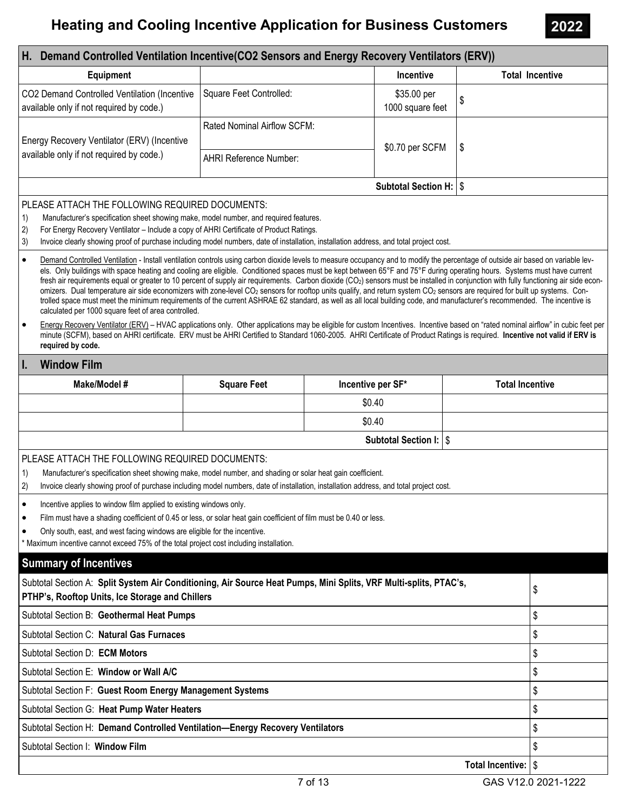### **Window Film** Make/Model # Square Feet Incentive per SF\* Total Incentive \$0.40 \$0.40 Subtotal Section I: \$ H. Demand Controlled Ventilation Incentive(CO2 Sensors and Energy Recovery Ventilators (ERV)) Equipment **Incentive Total Incentive** Total Incentive Total Incentive CO2 Demand Controlled Ventilation (Incentive available only if not required by code.) Square Feet Controlled:  $\qquad \qquad$  \$35.00 per  $1000$  square feet  $\frac{1}{3}$ Energy Recovery Ventilator (ERV) (Incentive available only if not required by code.) Rated Nominal Airflow SCFM:  $$0.70$  per SCFM  $\frac{1}{5}$ AHRI Reference Number: Subtotal Section H: \ \$ Subtotal Section A: Split System Air Conditioning, Air Source Heat Pumps, Mini Splits, VRF Multi-splits, PTAC's, PTHP's, Rooftop Units, Ice Storage and Chillers **(2008)** The Storage and Chillers **Bullers** (3) Subtotal Section B: Geothermal Heat Pumps \$ Subtotal Section C: Natural Gas Furnaces \$ Subtotal Section E: Window or Wall A/C  $\sim$  8  $\frac{1}{3}$ Subtotal Section F: Guest Room Energy Management Systems  $\lvert \, \$$ Subtotal Section G: Heat Pump Water Heaters  $\frac{1}{3}$ Subtotal Section H: Demand Controlled Ventilation—Energy Recovery Ventilators \$ Subtotal Section I: Window Film \$ Total Incentive: S Summary of Incentives Subtotal Section D: **ECM Motors**  $\begin{bmatrix} \S \end{bmatrix}$ · Demand Controlled Ventilation - Install ventilation controls using carbon dioxide levels to measure occupancy and to modify the percentage of outside air based on variable levels. Only buildings with space heating and cooling are eligible. Conditioned spaces must be kept between 65°F and 75°F during operating hours. Systems must have current fresh air requirements equal or greater to 10 percent of supply air requirements. Carbon dioxide (CO<sub>2</sub>) sensors must be installed in conjunction with fully functioning air side economizers. Dual temperature air side economizers with zone-level CO<sub>2</sub> sensors for rooftop units qualify, and return system CO<sub>2</sub> sensors are required for built up systems. Controlled space must meet the minimum requirements of the current ASHRAE 62 standard, as well as all local building code, and manufacturer's recommended. The incentive is calculated per 1000 square feet of area controlled. Energy Recovery Ventilator (ERV) – HVAC applications only. Other applications may be eligible for custom Incentives. Incentive based on "rated nominal airflow" in cubic feet per minute (SCFM), based on AHRI certificate. ERV must be AHRI Certified to Standard 1060-2005. AHRI Certificate of Product Ratings is required. Incentive not valid if ERV is required by code. PLEASE ATTACH THE FOLLOWING REQUIRED DOCUMENTS: 1) Manufacturer's specification sheet showing make, model number, and required features. 2) For Energy Recovery Ventilator – Include a copy of AHRI Certificate of Product Ratings. 3) Invoice clearly showing proof of purchase including model numbers, date of installation, installation address, and total project cost. PLEASE ATTACH THE FOLLOWING REQUIRED DOCUMENTS: 1) Manufacturer's specification sheet showing make, model number, and shading or solar heat gain coefficient. 2) Invoice clearly showing proof of purchase including model numbers, date of installation, installation address, and total project cost. • Incentive applies to window film applied to existing windows only. Film must have a shading coefficient of 0.45 or less, or solar heat gain coefficient of film must be 0.40 or less. · Only south, east, and west facing windows are eligible for the incentive. \* Maximum incentive cannot exceed 75% of the total project cost including installation.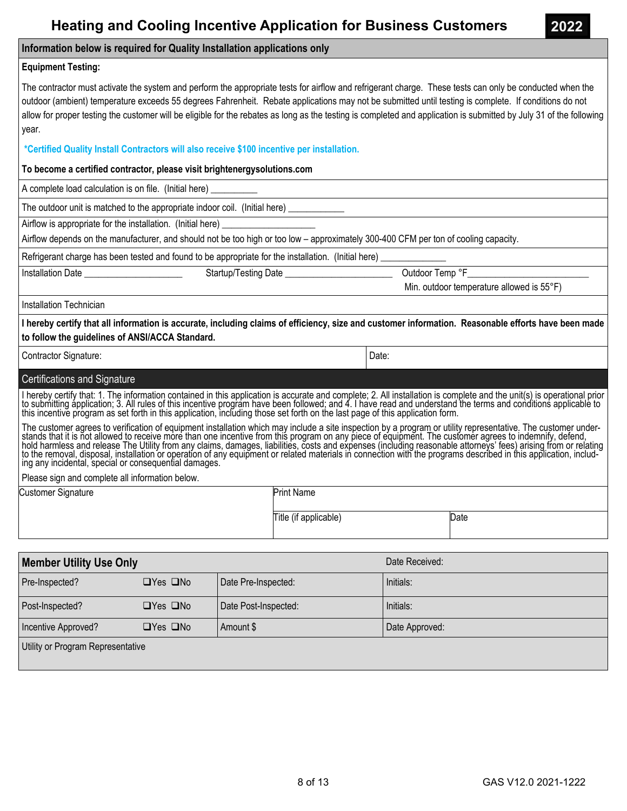|  |  | <b>Heating and Cooling Incentive Application for Business Customers</b> |  |
|--|--|-------------------------------------------------------------------------|--|
|  |  |                                                                         |  |

#### **Information below is required for Quality Installation applications only**

#### **Equipment Testing:**

The contractor must activate the system and perform the appropriate tests for airflow and refrigerant charge. These tests can only be conducted when the outdoor (ambient) temperature exceeds 55 degrees Fahrenheit. Rebate applications may not be submitted until testing is complete. If conditions do not allow for proper testing the customer will be eligible for the rebates as long as the testing is completed and application is submitted by July 31 of the following year.

#### **\*Certified Quality Install Contractors will also receive \$100 incentive per installation.**

#### **To become a certified contractor, please visit brightenergysolutions.com**

A complete load calculation is on file. (Initial here)

The outdoor unit is matched to the appropriate indoor coil. (Initial here)

Airflow is appropriate for the installation. (Initial here)

Airflow depends on the manufacturer, and should not be too high or too low – approximately 300-400 CFM per ton of cooling capacity.

Refrigerant charge has been tested and found to be appropriate for the installation. (Initial here)

Installation Date \_\_\_\_\_\_\_\_\_\_\_\_\_\_\_\_\_\_\_\_\_ Startup/Testing Date \_\_\_\_\_\_\_\_\_\_\_\_\_\_\_\_\_\_\_\_\_\_\_ Outdoor Temp °F\_\_\_\_\_\_\_\_\_\_\_\_\_\_\_\_\_\_\_\_\_\_\_\_\_\_

Min. outdoor temperature allowed is 55°F)

**2022** 

Installation Technician

**I hereby certify that all information is accurate, including claims of efficiency, size and customer information. Reasonable efforts have been made to follow the guidelines of ANSI/ACCA Standard.**

Contractor Signature: Date: Date: Date: Date: Date: Date: Date: Date: Date: Date: Date: Date: Date: Date: Date: Date: Date: Date: Date: Date: Date: Date: Date: Date: Date: Date: Date: Date: Date: Date: Date: Date: Date: Da

#### Certifications and Signature

I hereby certify that: 1. The information contained in this application is accurate and complete; 2. All installation is complete and the unit(s) is operational prior to submitting application; 3. All rules of this incenti

The customer agrees to verification of equipment installation which may include a site inspection by a program or utility representative. The customer understands that it is not allowed to receive more than one incentive from this program on any piece of equipment. The customer agrees to indemnify, defend,<br>hold harmless and release The Utility from any claims, damages, liabil

Please sign and complete all information below.

| <b>Customer Signature</b> | <b>Print Name</b>     |      |
|---------------------------|-----------------------|------|
|                           | Title (if applicable) | Date |

| <b>Member Utility Use Only</b>        |                      |                      | Date Received: |
|---------------------------------------|----------------------|----------------------|----------------|
| Pre-Inspected?                        | $\Box$ Yes $\Box$ No | Date Pre-Inspected:  | Initials:      |
| Post-Inspected?                       | $\Box$ Yes $\Box$ No | Date Post-Inspected: | Initials:      |
| Incentive Approved?                   | $\Box$ Yes $\Box$ No | Amount \$            | Date Approved: |
| I I Itility or Program Representative |                      |                      |                |

Utility or Program Representative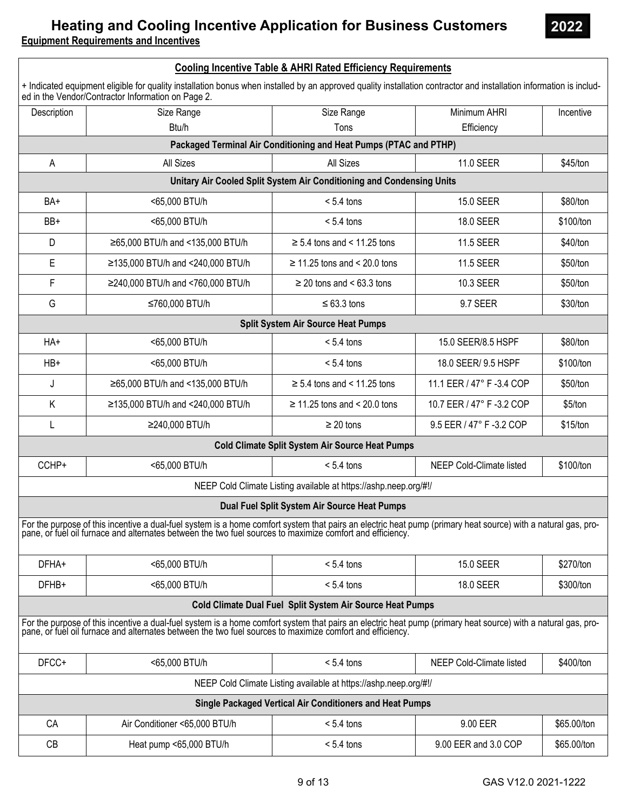### **Heating and Cooling Incentive Application for Business Customers Equipment Requirements and Incentives**

**2022** 

|             |                                                                                                                                                                                                                                | <b>Cooling Incentive Table &amp; AHRI Rated Efficiency Requirements</b> |                           |             |
|-------------|--------------------------------------------------------------------------------------------------------------------------------------------------------------------------------------------------------------------------------|-------------------------------------------------------------------------|---------------------------|-------------|
|             | + Indicated equipment eligible for quality installation bonus when installed by an approved quality installation contractor and installation information is includ-<br>ed in the Vendor/Contractor Information on Page 2.      |                                                                         |                           |             |
| Description | Size Range                                                                                                                                                                                                                     | Size Range                                                              | Minimum AHRI              | Incentive   |
|             | Btu/h                                                                                                                                                                                                                          | Tons                                                                    | Efficiency                |             |
|             |                                                                                                                                                                                                                                | Packaged Terminal Air Conditioning and Heat Pumps (PTAC and PTHP)       |                           |             |
| Α           | All Sizes                                                                                                                                                                                                                      | All Sizes                                                               | 11.0 SEER                 | \$45/ton    |
|             |                                                                                                                                                                                                                                | Unitary Air Cooled Split System Air Conditioning and Condensing Units   |                           |             |
| BA+         | <65,000 BTU/h                                                                                                                                                                                                                  | $< 5.4$ tons                                                            | <b>15.0 SEER</b>          | \$80/ton    |
| BB+         | <65,000 BTU/h                                                                                                                                                                                                                  | $< 5.4$ tons                                                            | <b>18.0 SEER</b>          | \$100/ton   |
| D           | ≥65,000 BTU/h and <135,000 BTU/h                                                                                                                                                                                               | $\geq$ 5.4 tons and < 11.25 tons                                        | <b>11.5 SEER</b>          | \$40/ton    |
| Ε           | ≥135,000 BTU/h and <240,000 BTU/h                                                                                                                                                                                              | $\geq$ 11.25 tons and < 20.0 tons                                       | <b>11.5 SEER</b>          | \$50/ton    |
| F           | ≥240,000 BTU/h and <760,000 BTU/h                                                                                                                                                                                              | $\geq$ 20 tons and < 63.3 tons                                          | 10.3 SEER                 | \$50/ton    |
| G           | ≤760,000 BTU/h                                                                                                                                                                                                                 | $\leq 63.3$ tons                                                        | 9.7 SEER                  | \$30/ton    |
|             |                                                                                                                                                                                                                                | <b>Split System Air Source Heat Pumps</b>                               |                           |             |
| HA+         | <65,000 BTU/h                                                                                                                                                                                                                  | $< 5.4$ tons                                                            | 15.0 SEER/8.5 HSPF        | \$80/ton    |
| $HB+$       | <65,000 BTU/h                                                                                                                                                                                                                  | $< 5.4$ tons                                                            | 18.0 SEER/ 9.5 HSPF       | \$100/ton   |
| J           | ≥65,000 BTU/h and <135,000 BTU/h                                                                                                                                                                                               | $\geq$ 5.4 tons and < 11.25 tons                                        | 11.1 EER / 47° F -3.4 COP | \$50/ton    |
| Κ           | ≥135,000 BTU/h and <240,000 BTU/h                                                                                                                                                                                              | $\geq$ 11.25 tons and < 20.0 tons                                       | 10.7 EER / 47° F -3.2 COP | \$5/ton     |
| L           | ≥240,000 BTU/h                                                                                                                                                                                                                 | $\geq 20$ tons                                                          | 9.5 EER / 47° F -3.2 COP  | \$15/ton    |
|             |                                                                                                                                                                                                                                | Cold Climate Split System Air Source Heat Pumps                         |                           |             |
| CCHP+       | <65,000 BTU/h                                                                                                                                                                                                                  | $< 5.4$ tons                                                            | NEEP Cold-Climate listed  | \$100/ton   |
|             |                                                                                                                                                                                                                                | NEEP Cold Climate Listing available at https://ashp.neep.org/#!/        |                           |             |
|             |                                                                                                                                                                                                                                | Dual Fuel Split System Air Source Heat Pumps                            |                           |             |
|             | For the purpose of this incentive a dual-fuel system is a home comfort system that pairs an electric heat pump (primary heat source) with a natural gas, propane, or fuel oil furnace and alternates between the two fuel sour |                                                                         |                           |             |
| DFHA+       | <65,000 BTU/h                                                                                                                                                                                                                  | $< 5.4$ tons                                                            | <b>15.0 SEER</b>          | \$270/ton   |
| DFHB+       | <65,000 BTU/h                                                                                                                                                                                                                  | $< 5.4$ tons                                                            | 18.0 SEER                 | \$300/ton   |
|             |                                                                                                                                                                                                                                | Cold Climate Dual Fuel Split System Air Source Heat Pumps               |                           |             |
|             | For the purpose of this incentive a dual-fuel system is a home comfort system that pairs an electric heat pump (primary heat source) with a natural gas, propane, or fuel oil furnace and alternates between the two fuel sour |                                                                         |                           |             |
| DFCC+       | <65,000 BTU/h                                                                                                                                                                                                                  | $< 5.4$ tons                                                            | NEEP Cold-Climate listed  | \$400/ton   |
|             |                                                                                                                                                                                                                                | NEEP Cold Climate Listing available at https://ashp.neep.org/#!/        |                           |             |
|             |                                                                                                                                                                                                                                | Single Packaged Vertical Air Conditioners and Heat Pumps                |                           |             |
| CA          | Air Conditioner <65,000 BTU/h                                                                                                                                                                                                  | $< 5.4$ tons                                                            | 9.00 EER                  | \$65.00/ton |
| CB          | Heat pump <65,000 BTU/h                                                                                                                                                                                                        | $< 5.4$ tons                                                            | 9.00 EER and 3.0 COP      | \$65.00/ton |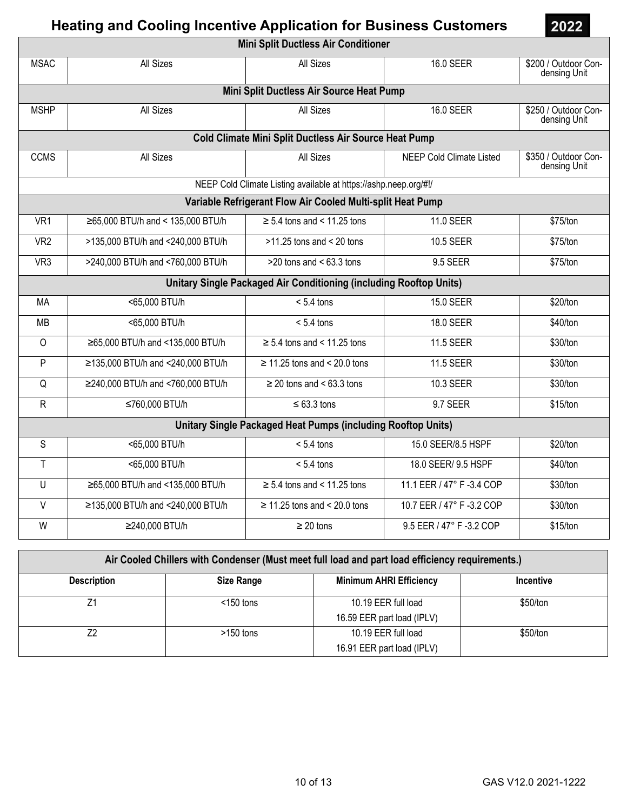**Mini Split Ductless Air Conditioner**  MSAC All Sizes All Sizes 16.0 SEER \$200 / Outdoor Condensing Unit **Mini Split Ductless Air Source Heat Pump**  MSHP All Sizes All Sizes All Sizes All Sizes All Sizes 16.0 SEER \$250 / Outdoor Condensing Unit **Cold Climate Mini Split Ductless Air Source Heat Pump**  CCMS | All Sizes | All Sizes | All Sizes | NEEP Cold Climate Listed | \$350 / Outdoor Condensing Unit NEEP Cold Climate Listing available at https://ashp.neep.org/#!/ **Variable Refrigerant Flow Air Cooled Multi-split Heat Pump**  VR1  $\vert$  ≥65,000 BTU/h and < 135,000 BTU/h  $\vert$  ≥ 5.4 tons and < 11.25 tons  $\vert$  11.0 SEER \$75/ton VR2 >135,000 BTU/h and <240,000 BTU/h >11.25 tons and < 20 tons 10.5 SEER \$75/ton VR3  $\vert$  >240,000 BTU/h and <760,000 BTU/h  $\vert$  >20 tons and < 63.3 tons  $\vert$  9.5 SEER \$75/ton **Unitary Single Packaged Air Conditioning (including Rooftop Units)**  MA <65,000 BTU/h < 5.4 tons 15.0 SEER \$20/ton MB | <65,000 BTU/h | < 5.4 tons | 18.0 SEER | \$40/ton O  $\vert$  ≥65,000 BTU/h and <135,000 BTU/h  $\vert$  ≥ 5.4 tons and < 11.25 tons  $\vert$  11.5 SEER \$30/ton P  $\vert$  ≥135,000 BTU/h and <240,000 BTU/h  $\vert$  ≥ 11.25 tons and < 20.0 tons 11.5 SEER \$30/ton  $\overline{Q}$   $\geq$  240,000 BTU/h and <760,000 BTU/h  $\geq$  20 tons and < 63.3 tons 20.3 Let 20.3 SEER \$30/ton R │ ≤760,000 BTU/h │ ≤ 63.3 tons │ 9.7 SEER │ \$15/ton **Unitary Single Packaged Heat Pumps (including Rooftop Units)**  S | <65,000 BTU/h < 5.4 tons 15.0 SEER/8.5 HSPF \$20/ton T <65,000 BTU/h < 5.4 tons 18.0 SEER/ 9.5 HSPF \$40/ton U  $\vert$  ≥65,000 BTU/h and <135,000 BTU/h  $\vert$  ≥ 5.4 tons and < 11.25 tons  $\vert$  11.1 EER / 47° F -3.4 COP  $\vert$  \$30/ton V  $\vert$  ≥135,000 BTU/h and <240,000 BTU/h  $\vert$  ≥ 11.25 tons and < 20.0 tons  $\vert$  10.7 EER / 47° F -3.2 COP  $\vert$  \$30/ton W  $\vert$  ≥240.000 BTU/h  $\vert$  ≥ 20 tons  $\vert$  9.5 EER / 47° F -3.2 COP  $\vert$  \$15/ton

| Air Cooled Chillers with Condenser (Must meet full load and part load efficiency requirements.) |                   |                                |           |  |  |
|-------------------------------------------------------------------------------------------------|-------------------|--------------------------------|-----------|--|--|
| <b>Description</b>                                                                              | <b>Size Range</b> | <b>Minimum AHRI Efficiency</b> | Incentive |  |  |
|                                                                                                 | $<$ 150 tons      | 10.19 EER full load            | \$50/ton  |  |  |
|                                                                                                 |                   | 16.59 EER part load (IPLV)     |           |  |  |
| 72                                                                                              | $>150$ tons       | 10.19 EER full load            | \$50/ton  |  |  |
|                                                                                                 |                   | 16.91 EER part load (IPLV)     |           |  |  |

**2022**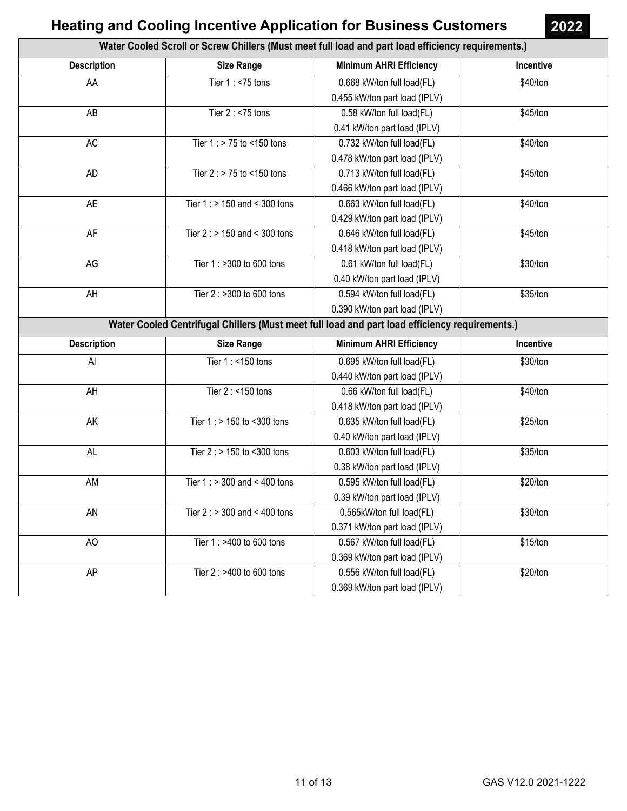| Water Cooled Scroll or Screw Chillers (Must meet full load and part load efficiency requirements.) |                                   |                                                                                                |           |  |  |
|----------------------------------------------------------------------------------------------------|-----------------------------------|------------------------------------------------------------------------------------------------|-----------|--|--|
| <b>Description</b>                                                                                 | <b>Size Range</b>                 | <b>Minimum AHRI Efficiency</b>                                                                 | Incentive |  |  |
| AA                                                                                                 | Tier $1:$ <75 tons                | 0.668 kW/ton full load(FL)                                                                     | \$40/ton  |  |  |
|                                                                                                    |                                   | 0.455 kW/ton part load (IPLV)                                                                  |           |  |  |
| AB                                                                                                 | Tier $2:$ <75 tons                | 0.58 kW/ton full load(FL)                                                                      | \$45/ton  |  |  |
|                                                                                                    |                                   | 0.41 kW/ton part load (IPLV)                                                                   |           |  |  |
| AC                                                                                                 | Tier $1:$ > 75 to <150 tons       | 0.732 kW/ton full load(FL)                                                                     | \$40/ton  |  |  |
|                                                                                                    |                                   | 0.478 kW/ton part load (IPLV)                                                                  |           |  |  |
| <b>AD</b>                                                                                          | Tier $2:$ > 75 to <150 tons       | 0.713 kW/ton full load(FL)                                                                     | \$45/ton  |  |  |
|                                                                                                    |                                   | 0.466 kW/ton part load (IPLV)                                                                  |           |  |  |
| <b>AE</b>                                                                                          | Tier $1:$ > 150 and < 300 tons    | 0.663 kW/ton full load(FL)                                                                     | \$40/ton  |  |  |
|                                                                                                    |                                   | 0.429 kW/ton part load (IPLV)                                                                  |           |  |  |
| AF                                                                                                 | Tier $2:$ > 150 and < 300 tons    | 0.646 kW/ton full load(FL)                                                                     | \$45/ton  |  |  |
|                                                                                                    |                                   | 0.418 kW/ton part load (IPLV)                                                                  |           |  |  |
| AG                                                                                                 | Tier 1 : >300 to 600 tons         | 0.61 kW/ton full load(FL)                                                                      | \$30/ton  |  |  |
|                                                                                                    |                                   | 0.40 kW/ton part load (IPLV)                                                                   |           |  |  |
| AH                                                                                                 | Tier 2 : >300 to 600 tons         | 0.594 kW/ton full load(FL)                                                                     | \$35/ton  |  |  |
|                                                                                                    |                                   | 0.390 kW/ton part load (IPLV)                                                                  |           |  |  |
|                                                                                                    |                                   | Water Cooled Centrifugal Chillers (Must meet full load and part load efficiency requirements.) |           |  |  |
| <b>Description</b>                                                                                 | <b>Size Range</b>                 | <b>Minimum AHRI Efficiency</b>                                                                 | Incentive |  |  |
| Al                                                                                                 | Tier 1 : < 150 tons               | 0.695 kW/ton full load(FL)                                                                     | \$30/ton  |  |  |
|                                                                                                    |                                   | 0.440 kW/ton part load (IPLV)                                                                  |           |  |  |
| AH                                                                                                 | Tier 2 : <150 tons                | 0.66 kW/ton full load(FL)                                                                      | \$40/ton  |  |  |
|                                                                                                    |                                   | 0.418 kW/ton part load (IPLV)                                                                  |           |  |  |
| AK                                                                                                 | Tier 1 : > 150 to <300 tons       | 0.635 kW/ton full load(FL)                                                                     | \$25/ton  |  |  |
|                                                                                                    |                                   | 0.40 kW/ton part load (IPLV)                                                                   |           |  |  |
| AL                                                                                                 | Tier 2 : > 150 to <300 tons       | 0.603 kW/ton full load(FL)                                                                     | \$35/ton  |  |  |
|                                                                                                    |                                   | 0.38 kW/ton part load (IPLV)                                                                   |           |  |  |
| AM                                                                                                 | Tier 1 : $> 300$ and $< 400$ tons | 0.595 kW/ton full load(FL)                                                                     | \$20/ton  |  |  |
|                                                                                                    |                                   | 0.39 kW/ton part load (IPLV)                                                                   |           |  |  |
| AN                                                                                                 | Tier $2:$ > 300 and < 400 tons    | 0.565kW/ton full load(FL)                                                                      | \$30/ton  |  |  |
|                                                                                                    |                                   | 0.371 kW/ton part load (IPLV)                                                                  |           |  |  |
| AO                                                                                                 | Tier 1 : >400 to 600 tons         | 0.567 kW/ton full load(FL)                                                                     | \$15/ton  |  |  |
|                                                                                                    |                                   | 0.369 kW/ton part load (IPLV)                                                                  |           |  |  |
|                                                                                                    |                                   |                                                                                                |           |  |  |
| AP                                                                                                 | Tier 2 : >400 to 600 tons         | 0.556 kW/ton full load(FL)                                                                     | \$20/ton  |  |  |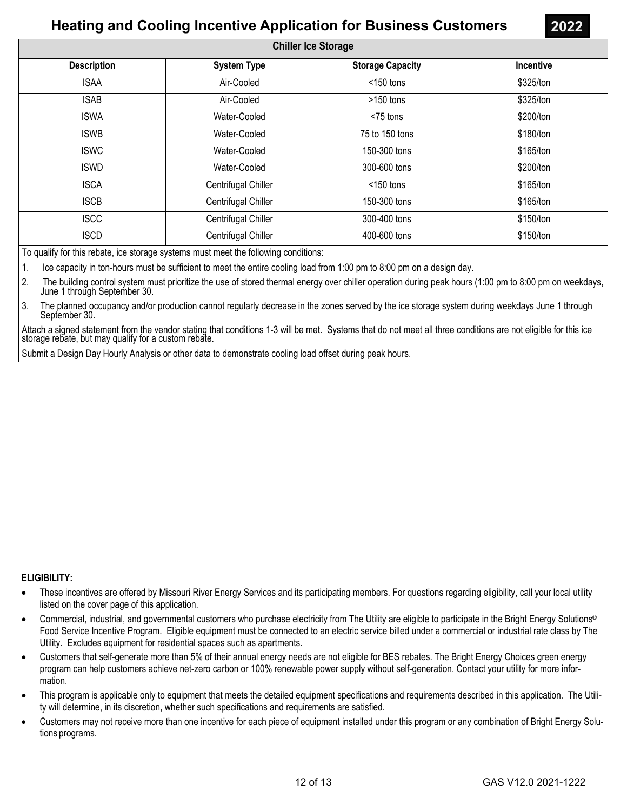| <b>Chiller Ice Storage</b> |                     |                         |           |  |  |  |
|----------------------------|---------------------|-------------------------|-----------|--|--|--|
| <b>Description</b>         | <b>System Type</b>  | <b>Storage Capacity</b> | Incentive |  |  |  |
| <b>ISAA</b>                | Air-Cooled          | $<$ 150 tons            | \$325/ton |  |  |  |
| <b>ISAB</b>                | Air-Cooled          | $>150$ tons             | \$325/ton |  |  |  |
| <b>ISWA</b>                | Water-Cooled        | <75 tons                | \$200/ton |  |  |  |
| <b>ISWB</b>                | Water-Cooled        | 75 to 150 tons          | \$180/ton |  |  |  |
| <b>ISWC</b>                | Water-Cooled        | 150-300 tons            | \$165/ton |  |  |  |
| <b>ISWD</b>                | Water-Cooled        | 300-600 tons            | \$200/ton |  |  |  |
| <b>ISCA</b>                | Centrifugal Chiller | $<$ 150 tons            | \$165/ton |  |  |  |
| <b>ISCB</b>                | Centrifugal Chiller | 150-300 tons            | \$165/ton |  |  |  |
| <b>ISCC</b>                | Centrifugal Chiller | 300-400 tons            | \$150/ton |  |  |  |
| <b>ISCD</b>                | Centrifugal Chiller | 400-600 tons            | \$150/ton |  |  |  |
|                            |                     |                         |           |  |  |  |

To qualify for this rebate, ice storage systems must meet the following conditions:

1. Ice capacity in ton-hours must be sufficient to meet the entire cooling load from 1:00 pm to 8:00 pm on a design day.

2. The building control system must prioritize the use of stored thermal energy over chiller operation during peak hours (1:00 pm to 8:00 pm on weekdays, June 1 through September 30.

3. The planned occupancy and/or production cannot regularly decrease in the zones served by the ice storage system during weekdays June 1 through September 30.

Attach a signed statement from the vendor stating that conditions 1-3 will be met. Systems that do not meet all three conditions are not eligible for this ice storage rebate, but may qualify for a custom rebate.

Submit a Design Day Hourly Analysis or other data to demonstrate cooling load offset during peak hours.

#### **ELIGIBILITY:**

- These incentives are offered by Missouri River Energy Services and its participating members. For questions regarding eligibility, call your local utility listed on the cover page of this application.
- Commercial, industrial, and governmental customers who purchase electricity from The Utility are eligible to participate in the Bright Energy Solutions® Food Service Incentive Program. Eligible equipment must be connected to an electric service billed under a commercial or industrial rate class by The Utility. Excludes equipment for residential spaces such as apartments.
- Customers that self-generate more than 5% of their annual energy needs are not eligible for BES rebates. The Bright Energy Choices green energy program can help customers achieve net-zero carbon or 100% renewable power supply without self-generation. Contact your utility for more information.
- This program is applicable only to equipment that meets the detailed equipment specifications and requirements described in this application. The Utility will determine, in its discretion, whether such specifications and requirements are satisfied.
- Customers may not receive more than one incentive for each piece of equipment installed under this program or any combination of Bright Energy Solutions programs.